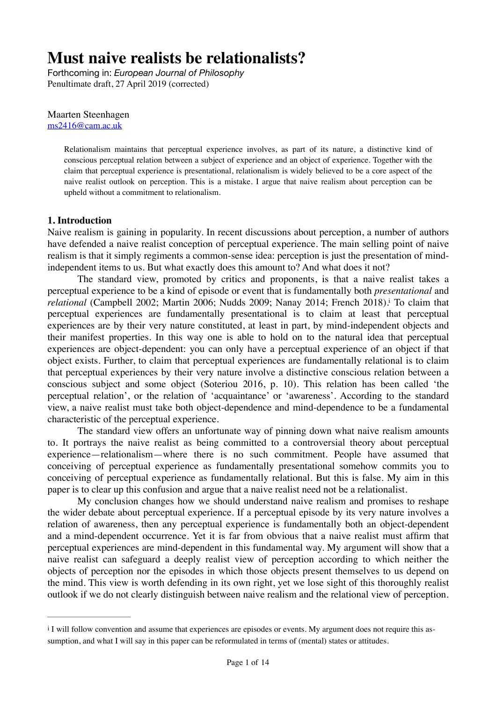# **Must naive realists be relationalists?**

Forthcoming in: *European Journal of Philosophy* Penultimate draft, 27 April 2019 (corrected)

Maarten Steenhagen [ms2416@cam.ac.uk](mailto:ms2416@cam.ac.uk)

> Relationalism maintains that perceptual experience involves, as part of its nature, a distinctive kind of conscious perceptual relation between a subject of experience and an object of experience. Together with the claim that perceptual experience is presentational, relationalism is widely believed to be a core aspect of the naive realist outlook on perception. This is a mistake. I argue that naive realism about perception can be upheld without a commitment to relationalism.

#### **1. Introduction**

Naive realism is gaining in popularity. In recent discussions about perception, a number of authors have defended a naive realist conception of perceptual experience. The main selling point of naive realism is that it simply regiments a common-sense idea: perception is just the presentation of mindindependent items to us. But what exactly does this amount to? And what does it not?

<span id="page-0-1"></span>The standard view, promoted by critics and proponents, is that a naive realist takes a perceptual experience to be a kind of episode or event that is fundamentally both *presentational* and *relat[i](#page-0-0)onal* (Campbell 2002; Martin 2006; Nudds 2009; Nanay 2014; French 2018)[.](#page-0-0) To claim that perceptual experiences are fundamentally presentational is to claim at least that perceptual experiences are by their very nature constituted, at least in part, by mind-independent objects and their manifest properties. In this way one is able to hold on to the natural idea that perceptual experiences are object-dependent: you can only have a perceptual experience of an object if that object exists. Further, to claim that perceptual experiences are fundamentally relational is to claim that perceptual experiences by their very nature involve a distinctive conscious relation between a conscious subject and some object (Soteriou 2016, p. 10). This relation has been called 'the perceptual relation', or the relation of 'acquaintance' or 'awareness'. According to the standard view, a naive realist must take both object-dependence and mind-dependence to be a fundamental characteristic of the perceptual experience.

The standard view offers an unfortunate way of pinning down what naive realism amounts to. It portrays the naive realist as being committed to a controversial theory about perceptual experience—relationalism—where there is no such commitment. People have assumed that conceiving of perceptual experience as fundamentally presentational somehow commits you to conceiving of perceptual experience as fundamentally relational. But this is false. My aim in this paper is to clear up this confusion and argue that a naive realist need not be a relationalist.

My conclusion changes how we should understand naive realism and promises to reshape the wider debate about perceptual experience. If a perceptual episode by its very nature involves a relation of awareness, then any perceptual experience is fundamentally both an object-dependent and a mind-dependent occurrence. Yet it is far from obvious that a naive realist must affirm that perceptual experiences are mind-dependent in this fundamental way. My argument will show that a naive realist can safeguard a deeply realist view of perception according to which neither the objects of perception nor the episodes in which those objects present themselves to us depend on the mind. This view is worth defending in its own right, yet we lose sight of this thoroughly realist outlook if we do not clearly distinguish between naive realism and the relational view of perception.

<span id="page-0-0"></span> $\mathbf{I}$  [i](#page-0-1) I will follow convention and assume that experiences are episodes or events. My argument does not require this assumption, and what I will say in this paper can be reformulated in terms of (mental) states or attitudes.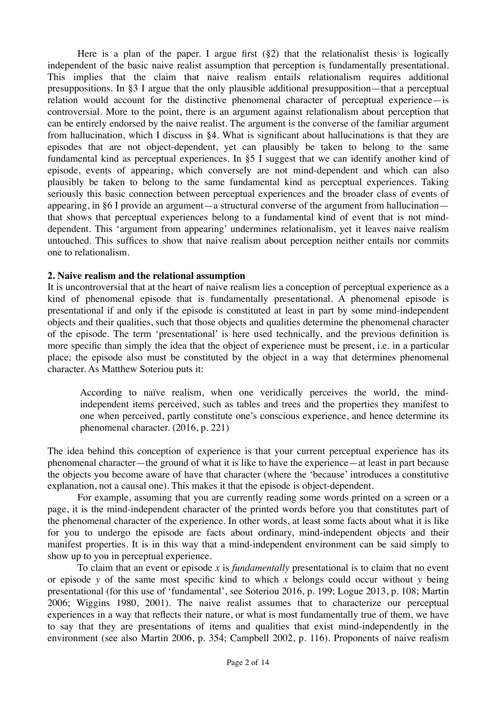Here is a plan of the paper. I argue first  $(\S_2)$  that the relationalist thesis is logically independent of the basic naive realist assumption that perception is fundamentally presentational. This implies that the claim that naive realism entails relationalism requires additional presuppositions. In §3 I argue that the only plausible additional presupposition—that a perceptual relation would account for the distinctive phenomenal character of perceptual experience—is controversial. More to the point, there is an argument against relationalism about perception that can be entirely endorsed by the naive realist. The argument is the converse of the familiar argument from hallucination, which I discuss in §4. What is significant about hallucinations is that they are episodes that are not object-dependent, yet can plausibly be taken to belong to the same fundamental kind as perceptual experiences. In §5 I suggest that we can identify another kind of episode, events of appearing, which conversely are not mind-dependent and which can also plausibly be taken to belong to the same fundamental kind as perceptual experiences. Taking seriously this basic connection between perceptual experiences and the broader class of events of appearing, in §6 I provide an argument—a structural converse of the argument from hallucination that shows that perceptual experiences belong to a fundamental kind of event that is not minddependent. This 'argument from appearing' undermines relationalism, yet it leaves naive realism untouched. This suffices to show that naive realism about perception neither entails nor commits one to relationalism.

## **2. Naive realism and the relational assumption**

It is uncontroversial that at the heart of naive realism lies a conception of perceptual experience as a kind of phenomenal episode that is fundamentally presentational. A phenomenal episode is presentational if and only if the episode is constituted at least in part by some mind-independent objects and their qualities, such that those objects and qualities determine the phenomenal character of the episode. The term 'presentational' is here used technically, and the previous definition is more specific than simply the idea that the object of experience must be present, i.e. in a particular place; the episode also must be constituted by the object in a way that determines phenomenal character. As Matthew Soteriou puts it:

According to naïve realism, when one veridically perceives the world, the mindindependent items perceived, such as tables and trees and the properties they manifest to one when perceived, partly constitute one's conscious experience, and hence determine its phenomenal character. (2016, p. 221)

The idea behind this conception of experience is that your current perceptual experience has its phenomenal character—the ground of what it is like to have the experience—at least in part because the objects you become aware of have that character (where the 'because' introduces a constitutive explanation, not a causal one). This makes it that the episode is object-dependent.

For example, assuming that you are currently reading some words printed on a screen or a page, it is the mind-independent character of the printed words before you that constitutes part of the phenomenal character of the experience. In other words, at least some facts about what it is like for you to undergo the episode are facts about ordinary, mind-independent objects and their manifest properties. It is in this way that a mind-independent environment can be said simply to show up to you in perceptual experience.

To claim that an event or episode *x* is *fundamentally* presentational is to claim that no event or episode *y* of the same most specific kind to which *x* belongs could occur without *y* being presentational (for this use of 'fundamental', see Soteriou 2016, p. 199; Logue 2013, p. 108; Martin 2006; Wiggins 1980, 2001). The naive realist assumes that to characterize our perceptual experiences in a way that reflects their nature, or what is most fundamentally true of them, we have to say that they are presentations of items and qualities that exist mind-independently in the environment (see also Martin 2006, p. 354; Campbell 2002, p. 116). Proponents of naive realism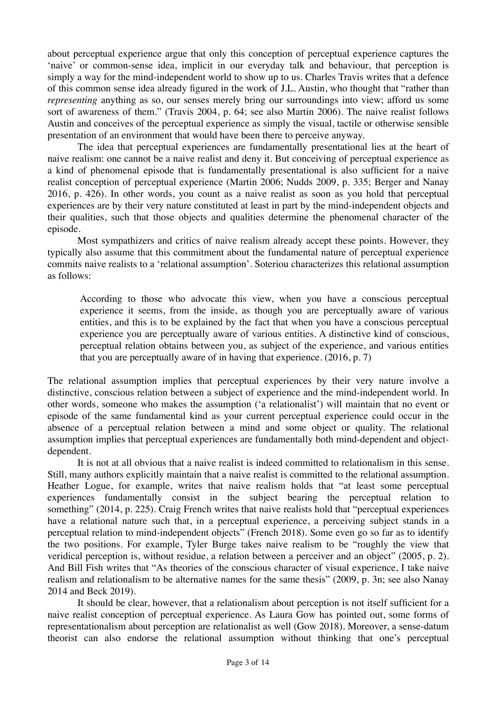about perceptual experience argue that only this conception of perceptual experience captures the 'naive' or common-sense idea, implicit in our everyday talk and behaviour, that perception is simply a way for the mind-independent world to show up to us. Charles Travis writes that a defence of this common sense idea already figured in the work of J.L. Austin, who thought that "rather than *representing* anything as so, our senses merely bring our surroundings into view; afford us some sort of awareness of them." (Travis 2004, p. 64; see also Martin 2006). The naive realist follows Austin and conceives of the perceptual experience as simply the visual, tactile or otherwise sensible presentation of an environment that would have been there to perceive anyway.

The idea that perceptual experiences are fundamentally presentational lies at the heart of naive realism: one cannot be a naive realist and deny it. But conceiving of perceptual experience as a kind of phenomenal episode that is fundamentally presentational is also sufficient for a naive realist conception of perceptual experience (Martin 2006; Nudds 2009, p. 335; Berger and Nanay 2016, p. 426). In other words, you count as a naive realist as soon as you hold that perceptual experiences are by their very nature constituted at least in part by the mind-independent objects and their qualities, such that those objects and qualities determine the phenomenal character of the episode.

Most sympathizers and critics of naive realism already accept these points. However, they typically also assume that this commitment about the fundamental nature of perceptual experience commits naive realists to a 'relational assumption'. Soteriou characterizes this relational assumption as follows:

According to those who advocate this view, when you have a conscious perceptual experience it seems, from the inside, as though you are perceptually aware of various entities, and this is to be explained by the fact that when you have a conscious perceptual experience you are perceptually aware of various entities. A distinctive kind of conscious, perceptual relation obtains between you, as subject of the experience, and various entities that you are perceptually aware of in having that experience. (2016, p. 7)

The relational assumption implies that perceptual experiences by their very nature involve a distinctive, conscious relation between a subject of experience and the mind-independent world. In other words, someone who makes the assumption ('a relationalist') will maintain that no event or episode of the same fundamental kind as your current perceptual experience could occur in the absence of a perceptual relation between a mind and some object or quality. The relational assumption implies that perceptual experiences are fundamentally both mind-dependent and objectdependent.

It is not at all obvious that a naive realist is indeed committed to relationalism in this sense. Still, many authors explicitly maintain that a naive realist is committed to the relational assumption. Heather Logue, for example, writes that naive realism holds that "at least some perceptual experiences fundamentally consist in the subject bearing the perceptual relation to something" (2014, p. 225). Craig French writes that naive realists hold that "perceptual experiences" have a relational nature such that, in a perceptual experience, a perceiving subject stands in a perceptual relation to mind-independent objects" (French 2018). Some even go so far as to identify the two positions. For example, Tyler Burge takes naive realism to be "roughly the view that veridical perception is, without residue, a relation between a perceiver and an object" (2005, p. 2). And Bill Fish writes that "As theories of the conscious character of visual experience, I take naive realism and relationalism to be alternative names for the same thesis" (2009, p. 3n; see also Nanay 2014 and Beck 2019).

It should be clear, however, that a relationalism about perception is not itself sufficient for a naive realist conception of perceptual experience. As Laura Gow has pointed out, some forms of representationalism about perception are relationalist as well (Gow 2018). Moreover, a sense-datum theorist can also endorse the relational assumption without thinking that one's perceptual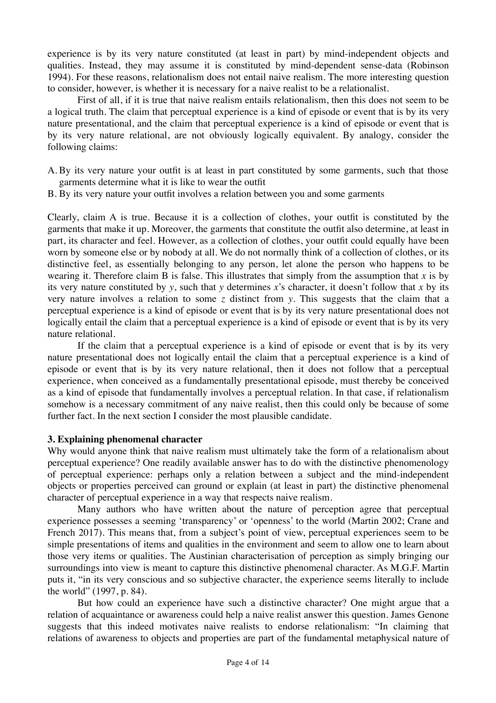experience is by its very nature constituted (at least in part) by mind-independent objects and qualities. Instead, they may assume it is constituted by mind-dependent sense-data (Robinson 1994). For these reasons, relationalism does not entail naive realism. The more interesting question to consider, however, is whether it is necessary for a naive realist to be a relationalist.

First of all, if it is true that naive realism entails relationalism, then this does not seem to be a logical truth. The claim that perceptual experience is a kind of episode or event that is by its very nature presentational, and the claim that perceptual experience is a kind of episode or event that is by its very nature relational, are not obviously logically equivalent. By analogy, consider the following claims:

- A. By its very nature your outfit is at least in part constituted by some garments, such that those garments determine what it is like to wear the outfit
- B. By its very nature your outfit involves a relation between you and some garments

Clearly, claim A is true. Because it is a collection of clothes, your outfit is constituted by the garments that make it up. Moreover, the garments that constitute the outfit also determine, at least in part, its character and feel. However, as a collection of clothes, your outfit could equally have been worn by someone else or by nobody at all. We do not normally think of a collection of clothes, or its distinctive feel, as essentially belonging to any person, let alone the person who happens to be wearing it. Therefore claim B is false. This illustrates that simply from the assumption that  $x$  is by its very nature constituted by *y*, such that *y* determines *x*'s character, it doesn't follow that *x* by its very nature involves a relation to some *z* distinct from *y*. This suggests that the claim that a perceptual experience is a kind of episode or event that is by its very nature presentational does not logically entail the claim that a perceptual experience is a kind of episode or event that is by its very nature relational.

If the claim that a perceptual experience is a kind of episode or event that is by its very nature presentational does not logically entail the claim that a perceptual experience is a kind of episode or event that is by its very nature relational, then it does not follow that a perceptual experience, when conceived as a fundamentally presentational episode, must thereby be conceived as a kind of episode that fundamentally involves a perceptual relation. In that case, if relationalism somehow is a necessary commitment of any naive realist, then this could only be because of some further fact. In the next section I consider the most plausible candidate.

## **3. Explaining phenomenal character**

Why would anyone think that naive realism must ultimately take the form of a relationalism about perceptual experience? One readily available answer has to do with the distinctive phenomenology of perceptual experience: perhaps only a relation between a subject and the mind-independent objects or properties perceived can ground or explain (at least in part) the distinctive phenomenal character of perceptual experience in a way that respects naive realism.

Many authors who have written about the nature of perception agree that perceptual experience possesses a seeming 'transparency' or 'openness' to the world (Martin 2002; Crane and French 2017). This means that, from a subject's point of view, perceptual experiences seem to be simple presentations of items and qualities in the environment and seem to allow one to learn about those very items or qualities. The Austinian characterisation of perception as simply bringing our surroundings into view is meant to capture this distinctive phenomenal character. As M.G.F. Martin puts it, "in its very conscious and so subjective character, the experience seems literally to include the world" (1997, p. 84).

But how could an experience have such a distinctive character? One might argue that a relation of acquaintance or awareness could help a naive realist answer this question. James Genone suggests that this indeed motivates naive realists to endorse relationalism: "In claiming that relations of awareness to objects and properties are part of the fundamental metaphysical nature of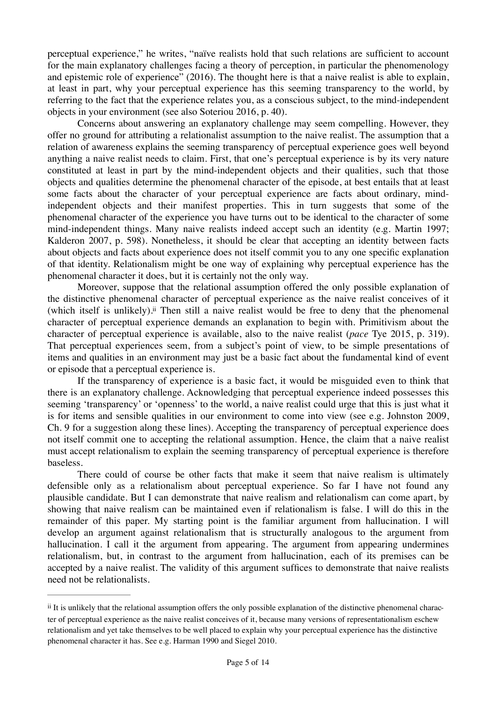perceptual experience," he writes, "naïve realists hold that such relations are sufficient to account for the main explanatory challenges facing a theory of perception, in particular the phenomenology and epistemic role of experience" (2016). The thought here is that a naive realist is able to explain, at least in part, why your perceptual experience has this seeming transparency to the world, by referring to the fact that the experience relates you, as a conscious subject, to the mind-independent objects in your environment (see also Soteriou 2016, p. 40).

Concerns about answering an explanatory challenge may seem compelling. However, they offer no ground for attributing a relationalist assumption to the naive realist. The assumption that a relation of awareness explains the seeming transparency of perceptual experience goes well beyond anything a naive realist needs to claim. First, that one's perceptual experience is by its very nature constituted at least in part by the mind-independent objects and their qualities, such that those objects and qualities determine the phenomenal character of the episode, at best entails that at least some facts about the character of your perceptual experience are facts about ordinary, mindindependent objects and their manifest properties. This in turn suggests that some of the phenomenal character of the experience you have turns out to be identical to the character of some mind-independent things. Many naive realists indeed accept such an identity (e.g. Martin 1997; Kalderon 2007, p. 598). Nonetheless, it should be clear that accepting an identity between facts about objects and facts about experience does not itself commit you to any one specific explanation of that identity. Relationalism might be one way of explaining why perceptual experience has the phenomenal character it does, but it is certainly not the only way.

<span id="page-4-1"></span>Moreover, suppose that the relational assumption offered the only possible explanation of the distinctive phenomenal character of perceptual experience as the naive realist conceives of it (which itself is unlikely)[.](#page-4-0)<sup> $ii$ </sup> Then still a naive realist would be free to deny that the phenomenal character of perceptual experience demands an explanation to begin with. Primitivism about the character of perceptual experience is available, also to the naive realist (*pace* Tye 2015, p. 319). That perceptual experiences seem, from a subject's point of view, to be simple presentations of items and qualities in an environment may just be a basic fact about the fundamental kind of event or episode that a perceptual experience is.

If the transparency of experience is a basic fact, it would be misguided even to think that there is an explanatory challenge. Acknowledging that perceptual experience indeed possesses this seeming 'transparency' or 'openness' to the world, a naive realist could urge that this is just what it is for items and sensible qualities in our environment to come into view (see e.g. Johnston 2009, Ch. 9 for a suggestion along these lines). Accepting the transparency of perceptual experience does not itself commit one to accepting the relational assumption. Hence, the claim that a naive realist must accept relationalism to explain the seeming transparency of perceptual experience is therefore baseless.

There could of course be other facts that make it seem that naive realism is ultimately defensible only as a relationalism about perceptual experience. So far I have not found any plausible candidate. But I can demonstrate that naive realism and relationalism can come apart, by showing that naive realism can be maintained even if relationalism is false. I will do this in the remainder of this paper. My starting point is the familiar argument from hallucination. I will develop an argument against relationalism that is structurally analogous to the argument from hallucination. I call it the argument from appearing. The argument from appearing undermines relationalism, but, in contrast to the argument from hallucination, each of its premises can be accepted by a naive realist. The validity of this argument suffices to demonstrate that naive realists need not be relationalists.

<span id="page-4-0"></span>[ii](#page-4-1) It is unlikely that the relational assumption offers the only possible explanation of the distinctive phenomenal character of perceptual experience as the naive realist conceives of it, because many versions of representationalism eschew relationalism and yet take themselves to be well placed to explain why your perceptual experience has the distinctive phenomenal character it has. See e.g. Harman 1990 and Siegel 2010.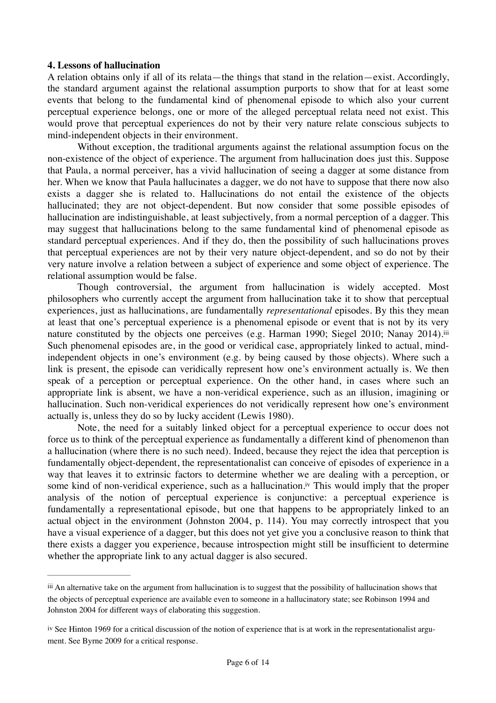#### **4. Lessons of hallucination**

A relation obtains only if all of its relata—the things that stand in the relation—exist. Accordingly, the standard argument against the relational assumption purports to show that for at least some events that belong to the fundamental kind of phenomenal episode to which also your current perceptual experience belongs, one or more of the alleged perceptual relata need not exist. This would prove that perceptual experiences do not by their very nature relate conscious subjects to mind-independent objects in their environment.

Without exception, the traditional arguments against the relational assumption focus on the non-existence of the object of experience. The argument from hallucination does just this. Suppose that Paula, a normal perceiver, has a vivid hallucination of seeing a dagger at some distance from her. When we know that Paula hallucinates a dagger, we do not have to suppose that there now also exists a dagger she is related to. Hallucinations do not entail the existence of the objects hallucinated; they are not object-dependent. But now consider that some possible episodes of hallucination are indistinguishable, at least subjectively, from a normal perception of a dagger. This may suggest that hallucinations belong to the same fundamental kind of phenomenal episode as standard perceptual experiences. And if they do, then the possibility of such hallucinations proves that perceptual experiences are not by their very nature object-dependent, and so do not by their very nature involve a relation between a subject of experience and some object of experience. The relational assumption would be false.

<span id="page-5-2"></span>Though controversial, the argument from hallucination is widely accepted. Most philosophers who currently accept the argument from hallucination take it to show that perceptual experiences, just as hallucinations, are fundamentally *representational* episodes. By this they mean at least that one's perceptual experience is a phenomenal episode or event that is not by its very nature constituted by the objects one perceives (e.g. Harman 1990; Siegel 2010; Nanay 2014).<sup>[iii](#page-5-0)</sup> Such phenomenal episodes are, in the good or veridical case, appropriately linked to actual, mindindependent objects in one's environment (e.g. by being caused by those objects). Where such a link is present, the episode can veridically represent how one's environment actually is. We then speak of a perception or perceptual experience. On the other hand, in cases where such an appropriate link is absent, we have a non-veridical experience, such as an illusion, imagining or hallucination. Such non-veridical experiences do not veridically represent how one's environment actually is, unless they do so by lucky accident (Lewis 1980).

<span id="page-5-3"></span>Note, the need for a suitably linked object for a perceptual experience to occur does not force us to think of the perceptual experience as fundamentally a different kind of phenomenon than a hallucination (where there is no such need). Indeed, because they reject the idea that perception is fundamentally object-dependent, the representationalist can conceive of episodes of experience in a way that leaves it to extrinsic factors to determine whether we are dealing with a perception, or some kind of non-veridical experience, such as a hallucination.<sup>[iv](#page-5-1)</sup> This would imply that the proper analysis of the notion of perceptual experience is conjunctive: a perceptual experience is fundamentally a representational episode, but one that happens to be appropriately linked to an actual object in the environment (Johnston 2004, p. 114). You may correctly introspect that you have a visual experience of a dagger, but this does not yet give you a conclusive reason to think that there exists a dagger you experience, because introspection might still be insufficient to determine whether the appropriate link to any actual dagger is also secured.

<span id="page-5-0"></span>[iii](#page-5-2) An alternative take on the argument from hallucination is to suggest that the possibility of hallucination shows that the objects of perceptual experience are available even to someone in a hallucinatory state; see Robinson 1994 and Johnston 2004 for different ways of elaborating this suggestion.

<span id="page-5-1"></span>[iv](#page-5-3) See Hinton 1969 for a critical discussion of the notion of experience that is at work in the representationalist argument. See Byrne 2009 for a critical response.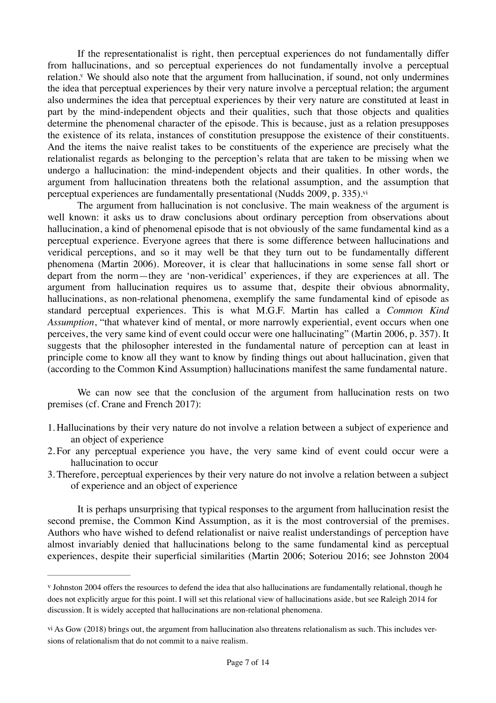<span id="page-6-2"></span>If the representationalist is right, then perceptual experiences do not fundamentally differ from hallucinations, and so perceptual experiences do not fundamentally involve a perceptual relation[.](#page-6-0)<sup>[v](#page-6-0)</sup> We should also note that the argument from hallucination, if sound, not only undermines the idea that perceptual experiences by their very nature involve a perceptual relation; the argument also undermines the idea that perceptual experiences by their very nature are constituted at least in part by the mind-independent objects and their qualities, such that those objects and qualities determine the phenomenal character of the episode. This is because, just as a relation presupposes the existence of its relata, instances of constitution presuppose the existence of their constituents. And the items the naive realist takes to be constituents of the experience are precisely what the relationalist regards as belonging to the perception's relata that are taken to be missing when we undergo a hallucination: the mind-independent objects and their qualities. In other words, the argument from hallucination threatens both the relational assumption, and the assumption that perceptual experiences are fundamentally presentational (Nudds 2009, p. 335). $\dot{v}$ <sup>i</sup>

<span id="page-6-3"></span>The argument from hallucination is not conclusive. The main weakness of the argument is well known: it asks us to draw conclusions about ordinary perception from observations about hallucination, a kind of phenomenal episode that is not obviously of the same fundamental kind as a perceptual experience. Everyone agrees that there is some difference between hallucinations and veridical perceptions, and so it may well be that they turn out to be fundamentally different phenomena (Martin 2006). Moreover, it is clear that hallucinations in some sense fall short or depart from the norm—they are 'non-veridical' experiences, if they are experiences at all. The argument from hallucination requires us to assume that, despite their obvious abnormality, hallucinations, as non-relational phenomena, exemplify the same fundamental kind of episode as standard perceptual experiences. This is what M.G.F. Martin has called a *Common Kind Assumption*, "that whatever kind of mental, or more narrowly experiential, event occurs when one perceives, the very same kind of event could occur were one hallucinating" (Martin 2006, p. 357). It suggests that the philosopher interested in the fundamental nature of perception can at least in principle come to know all they want to know by finding things out about hallucination, given that (according to the Common Kind Assumption) hallucinations manifest the same fundamental nature.

We can now see that the conclusion of the argument from hallucination rests on two premises (cf. Crane and French 2017):

- 1. Hallucinations by their very nature do not involve a relation between a subject of experience and an object of experience
- 2. For any perceptual experience you have, the very same kind of event could occur were a hallucination to occur
- 3. Therefore, perceptual experiences by their very nature do not involve a relation between a subject of experience and an object of experience

It is perhaps unsurprising that typical responses to the argument from hallucination resist the second premise, the Common Kind Assumption, as it is the most controversial of the premises. Authors who have wished to defend relationalist or naive realist understandings of perception have almost invariably denied that hallucinations belong to the same fundamental kind as perceptual experiences, despite their superficial similarities (Martin 2006; Soteriou 2016; see Johnston 2004

<span id="page-6-0"></span>[v](#page-6-2) Johnston 2004 offers the resources to defend the idea that also hallucinations are fundamentally relational, though he does not explicitly argue for this point. I will set this relational view of hallucinations aside, but see Raleigh 2014 for discussion. It is widely accepted that hallucinations are non-relational phenomena.

<span id="page-6-1"></span>[vi](#page-6-3) As Gow (2018) brings out, the argument from hallucination also threatens relationalism as such. This includes versions of relationalism that do not commit to a naive realism.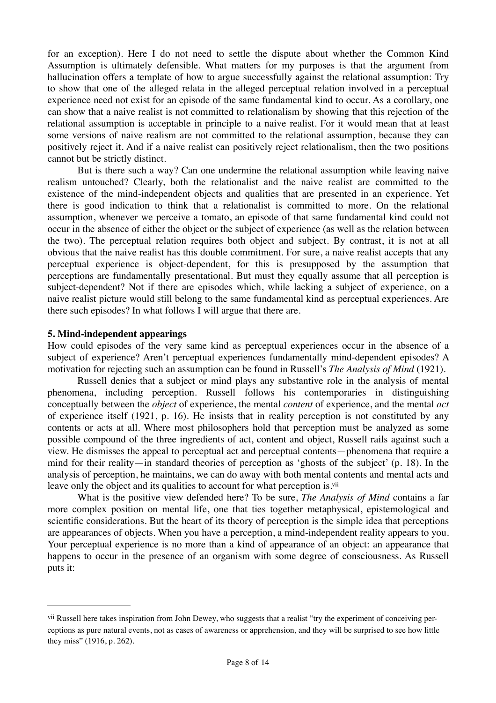for an exception). Here I do not need to settle the dispute about whether the Common Kind Assumption is ultimately defensible. What matters for my purposes is that the argument from hallucination offers a template of how to argue successfully against the relational assumption: Try to show that one of the alleged relata in the alleged perceptual relation involved in a perceptual experience need not exist for an episode of the same fundamental kind to occur. As a corollary, one can show that a naive realist is not committed to relationalism by showing that this rejection of the relational assumption is acceptable in principle to a naive realist. For it would mean that at least some versions of naive realism are not committed to the relational assumption, because they can positively reject it. And if a naive realist can positively reject relationalism, then the two positions cannot but be strictly distinct.

But is there such a way? Can one undermine the relational assumption while leaving naive realism untouched? Clearly, both the relationalist and the naive realist are committed to the existence of the mind-independent objects and qualities that are presented in an experience. Yet there is good indication to think that a relationalist is committed to more. On the relational assumption, whenever we perceive a tomato, an episode of that same fundamental kind could not occur in the absence of either the object or the subject of experience (as well as the relation between the two). The perceptual relation requires both object and subject. By contrast, it is not at all obvious that the naive realist has this double commitment. For sure, a naive realist accepts that any perceptual experience is object-dependent, for this is presupposed by the assumption that perceptions are fundamentally presentational. But must they equally assume that all perception is subject-dependent? Not if there are episodes which, while lacking a subject of experience, on a naive realist picture would still belong to the same fundamental kind as perceptual experiences. Are there such episodes? In what follows I will argue that there are.

## **5. Mind-independent appearings**

How could episodes of the very same kind as perceptual experiences occur in the absence of a subject of experience? Aren't perceptual experiences fundamentally mind-dependent episodes? A motivation for rejecting such an assumption can be found in Russell's *The Analysis of Mind* (1921).

Russell denies that a subject or mind plays any substantive role in the analysis of mental phenomena, including perception. Russell follows his contemporaries in distinguishing conceptually between the *object* of experience, the mental *content* of experience, and the mental *act* of experience itself (1921, p. 16). He insists that in reality perception is not constituted by any contents or acts at all. Where most philosophers hold that perception must be analyzed as some possible compound of the three ingredients of act, content and object, Russell rails against such a view. He dismisses the appeal to perceptual act and perceptual contents—phenomena that require a mind for their reality—in standard theories of perception as 'ghosts of the subject' (p. 18). In the analysis of perception, he maintains, we can do away with both mental contents and mental acts and leave only the object and its qualities to account for what perception is.<sup>vii</sup>

<span id="page-7-1"></span>What is the positive view defended here? To be sure, *The Analysis of Mind* contains a far more complex position on mental life, one that ties together metaphysical, epistemological and scientific considerations. But the heart of its theory of perception is the simple idea that perceptions are appearances of objects. When you have a perception, a mind-independent reality appears to you. Your perceptual experience is no more than a kind of appearance of an object: an appearance that happens to occur in the presence of an organism with some degree of consciousness. As Russell puts it:

<span id="page-7-0"></span>[vii](#page-7-1) Russell here takes inspiration from John Dewey, who suggests that a realist "try the experiment of conceiving perceptions as pure natural events, not as cases of awareness or apprehension, and they will be surprised to see how little they miss" (1916, p. 262).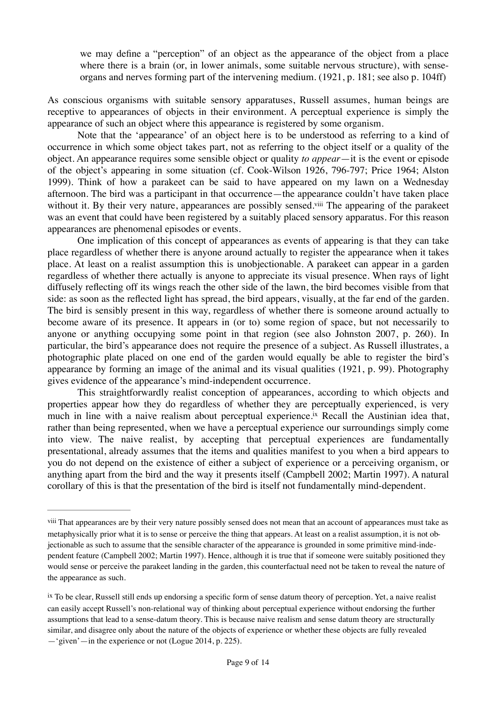we may define a "perception" of an object as the appearance of the object from a place where there is a brain (or, in lower animals, some suitable nervous structure), with senseorgans and nerves forming part of the intervening medium. (1921, p. 181; see also p. 104ff)

As conscious organisms with suitable sensory apparatuses, Russell assumes, human beings are receptive to appearances of objects in their environment. A perceptual experience is simply the appearance of such an object where this appearance is registered by some organism.

Note that the 'appearance' of an object here is to be understood as referring to a kind of occurrence in which some object takes part, not as referring to the object itself or a quality of the object. An appearance requires some sensible object or quality *to appear*—it is the event or episode of the object's appearing in some situation (cf. Cook-Wilson 1926, 796-797; Price 1964; Alston 1999). Think of how a parakeet can be said to have appeared on my lawn on a Wednesday afternoon. The bird was a participant in that occurrence—the appearance couldn't have taken place without it[.](#page-8-0) By their very nature, appearances are possibly sensed.<sup>[viii](#page-8-0)</sup> The appearing of the parakeet was an event that could have been registered by a suitably placed sensory apparatus. For this reason appearances are phenomenal episodes or events.

<span id="page-8-2"></span>One implication of this concept of appearances as events of appearing is that they can take place regardless of whether there is anyone around actually to register the appearance when it takes place. At least on a realist assumption this is unobjectionable. A parakeet can appear in a garden regardless of whether there actually is anyone to appreciate its visual presence. When rays of light diffusely reflecting off its wings reach the other side of the lawn, the bird becomes visible from that side: as soon as the reflected light has spread, the bird appears, visually, at the far end of the garden. The bird is sensibly present in this way, regardless of whether there is someone around actually to become aware of its presence. It appears in (or to) some region of space, but not necessarily to anyone or anything occupying some point in that region (see also Johnston 2007, p. 260). In particular, the bird's appearance does not require the presence of a subject. As Russell illustrates, a photographic plate placed on one end of the garden would equally be able to register the bird's appearance by forming an image of the animal and its visual qualities (1921, p. 99). Photography gives evidence of the appearance's mind-independent occurrence.

<span id="page-8-3"></span>This straightforwardly realist conception of appearances, according to which objects and properties appear how they do regardless of whether they are perceptually experienced, is very much in line with a naive realism about perceptual experience[.](#page-8-1)<sup>[ix](#page-8-1)</sup> Recall the Austinian idea that, rather than being represented, when we have a perceptual experience our surroundings simply come into view. The naive realist, by accepting that perceptual experiences are fundamentally presentational, already assumes that the items and qualities manifest to you when a bird appears to you do not depend on the existence of either a subject of experience or a perceiving organism, or anything apart from the bird and the way it presents itself (Campbell 2002; Martin 1997). A natural corollary of this is that the presentation of the bird is itself not fundamentally mind-dependent.

<span id="page-8-0"></span>[viii](#page-8-2) That appearances are by their very nature possibly sensed does not mean that an account of appearances must take as metaphysically prior what it is to sense or perceive the thing that appears. At least on a realist assumption, it is not objectionable as such to assume that the sensible character of the appearance is grounded in some primitive mind-independent feature (Campbell 2002; Martin 1997). Hence, although it is true that if someone were suitably positioned they would sense or perceive the parakeet landing in the garden, this counterfactual need not be taken to reveal the nature of the appearance as such.

<span id="page-8-1"></span>[ix](#page-8-3) To be clear, Russell still ends up endorsing a specific form of sense datum theory of perception. Yet, a naive realist can easily accept Russell's non-relational way of thinking about perceptual experience without endorsing the further assumptions that lead to a sense-datum theory. This is because naive realism and sense datum theory are structurally similar, and disagree only about the nature of the objects of experience or whether these objects are fully revealed —'given'—in the experience or not (Logue 2014, p. 225).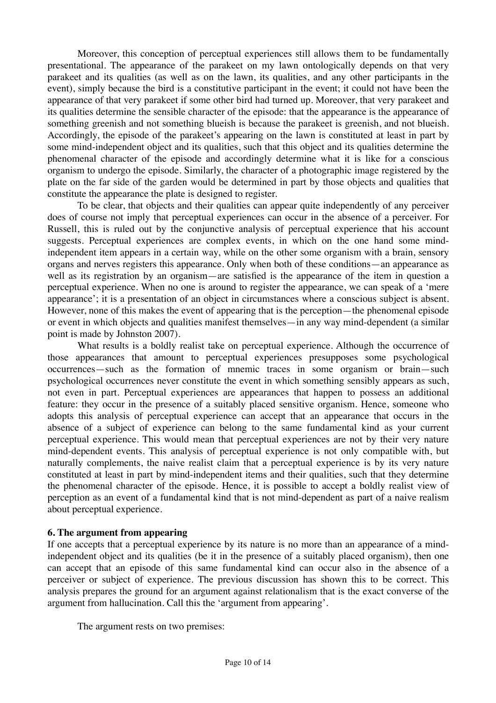Moreover, this conception of perceptual experiences still allows them to be fundamentally presentational. The appearance of the parakeet on my lawn ontologically depends on that very parakeet and its qualities (as well as on the lawn, its qualities, and any other participants in the event), simply because the bird is a constitutive participant in the event; it could not have been the appearance of that very parakeet if some other bird had turned up. Moreover, that very parakeet and its qualities determine the sensible character of the episode: that the appearance is the appearance of something greenish and not something blueish is because the parakeet is greenish, and not blueish. Accordingly, the episode of the parakeet's appearing on the lawn is constituted at least in part by some mind-independent object and its qualities, such that this object and its qualities determine the phenomenal character of the episode and accordingly determine what it is like for a conscious organism to undergo the episode. Similarly, the character of a photographic image registered by the plate on the far side of the garden would be determined in part by those objects and qualities that constitute the appearance the plate is designed to register.

To be clear, that objects and their qualities can appear quite independently of any perceiver does of course not imply that perceptual experiences can occur in the absence of a perceiver. For Russell, this is ruled out by the conjunctive analysis of perceptual experience that his account suggests. Perceptual experiences are complex events, in which on the one hand some mindindependent item appears in a certain way, while on the other some organism with a brain, sensory organs and nerves registers this appearance. Only when both of these conditions—an appearance as well as its registration by an organism—are satisfied is the appearance of the item in question a perceptual experience. When no one is around to register the appearance, we can speak of a 'mere appearance'; it is a presentation of an object in circumstances where a conscious subject is absent. However, none of this makes the event of appearing that is the perception—the phenomenal episode or event in which objects and qualities manifest themselves—in any way mind-dependent (a similar point is made by Johnston 2007).

What results is a boldly realist take on perceptual experience. Although the occurrence of those appearances that amount to perceptual experiences presupposes some psychological occurrences—such as the formation of mnemic traces in some organism or brain—such psychological occurrences never constitute the event in which something sensibly appears as such, not even in part. Perceptual experiences are appearances that happen to possess an additional feature: they occur in the presence of a suitably placed sensitive organism. Hence, someone who adopts this analysis of perceptual experience can accept that an appearance that occurs in the absence of a subject of experience can belong to the same fundamental kind as your current perceptual experience. This would mean that perceptual experiences are not by their very nature mind-dependent events. This analysis of perceptual experience is not only compatible with, but naturally complements, the naive realist claim that a perceptual experience is by its very nature constituted at least in part by mind-independent items and their qualities, such that they determine the phenomenal character of the episode. Hence, it is possible to accept a boldly realist view of perception as an event of a fundamental kind that is not mind-dependent as part of a naive realism about perceptual experience.

## **6. The argument from appearing**

If one accepts that a perceptual experience by its nature is no more than an appearance of a mindindependent object and its qualities (be it in the presence of a suitably placed organism), then one can accept that an episode of this same fundamental kind can occur also in the absence of a perceiver or subject of experience. The previous discussion has shown this to be correct. This analysis prepares the ground for an argument against relationalism that is the exact converse of the argument from hallucination. Call this the 'argument from appearing'.

The argument rests on two premises: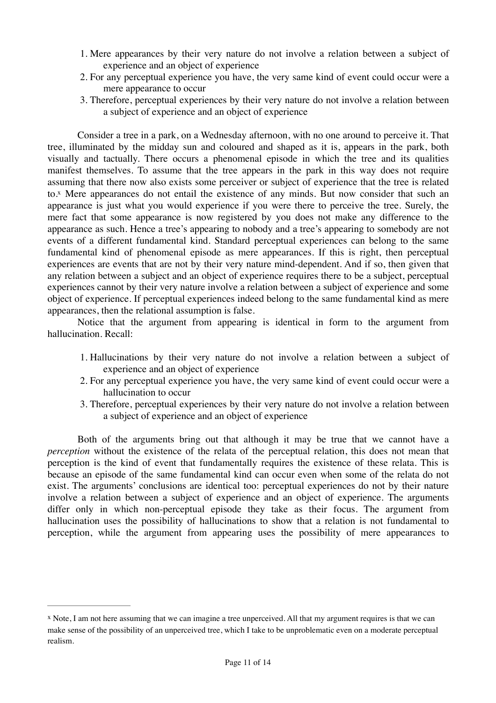- 1. Mere appearances by their very nature do not involve a relation between a subject of experience and an object of experience
- 2. For any perceptual experience you have, the very same kind of event could occur were a mere appearance to occur
- 3. Therefore, perceptual experiences by their very nature do not involve a relation between a subject of experience and an object of experience

<span id="page-10-1"></span>Consider a tree in a park, on a Wednesday afternoon, with no one around to perceive it. That tree, illuminated by the midday sun and coloured and shaped as it is, appears in the park, both visually and tactually. There occurs a phenomenal episode in which the tree and its qualities manifest themselves. To assume that the tree appears in the park in this way does not require assuming that there now also exists some perceiver or subject of experience that the tree is related to[.](#page-10-0) $<sup>x</sup>$  $<sup>x</sup>$  $<sup>x</sup>$  Mere appearances do not entail the existence of any minds. But now consider that such an</sup> appearance is just what you would experience if you were there to perceive the tree. Surely, the mere fact that some appearance is now registered by you does not make any difference to the appearance as such. Hence a tree's appearing to nobody and a tree's appearing to somebody are not events of a different fundamental kind. Standard perceptual experiences can belong to the same fundamental kind of phenomenal episode as mere appearances. If this is right, then perceptual experiences are events that are not by their very nature mind-dependent. And if so, then given that any relation between a subject and an object of experience requires there to be a subject, perceptual experiences cannot by their very nature involve a relation between a subject of experience and some object of experience. If perceptual experiences indeed belong to the same fundamental kind as mere appearances, then the relational assumption is false.

Notice that the argument from appearing is identical in form to the argument from hallucination. Recall:

- 1. Hallucinations by their very nature do not involve a relation between a subject of experience and an object of experience
- 2. For any perceptual experience you have, the very same kind of event could occur were a hallucination to occur
- 3. Therefore, perceptual experiences by their very nature do not involve a relation between a subject of experience and an object of experience

Both of the arguments bring out that although it may be true that we cannot have a *perception* without the existence of the relata of the perceptual relation, this does not mean that perception is the kind of event that fundamentally requires the existence of these relata. This is because an episode of the same fundamental kind can occur even when some of the relata do not exist. The arguments' conclusions are identical too: perceptual experiences do not by their nature involve a relation between a subject of experience and an object of experience. The arguments differ only in which non-perceptual episode they take as their focus. The argument from hallucination uses the possibility of hallucinations to show that a relation is not fundamental to perception, while the argument from appearing uses the possibility of mere appearances to

<span id="page-10-0"></span>[x](#page-10-1) Note, I am not here assuming that we can imagine a tree unperceived. All that my argument requires is that we can make sense of the possibility of an unperceived tree, which I take to be unproblematic even on a moderate perceptual realism.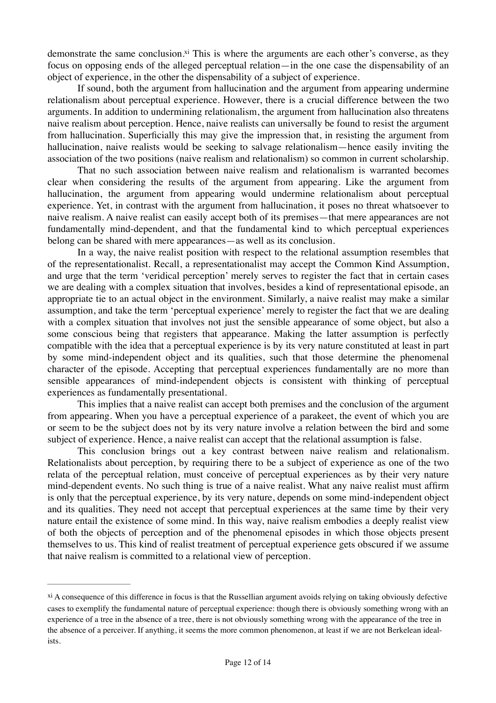<span id="page-11-1"></span>demonstrate the same conclusion[.](#page-11-0)<sup> $xi$ </sup> This is where the arguments are each other's converse, as they focus on opposing ends of the alleged perceptual relation—in the one case the dispensability of an object of experience, in the other the dispensability of a subject of experience.

If sound, both the argument from hallucination and the argument from appearing undermine relationalism about perceptual experience. However, there is a crucial difference between the two arguments. In addition to undermining relationalism, the argument from hallucination also threatens naive realism about perception. Hence, naive realists can universally be found to resist the argument from hallucination. Superficially this may give the impression that, in resisting the argument from hallucination, naive realists would be seeking to salvage relationalism—hence easily inviting the association of the two positions (naive realism and relationalism) so common in current scholarship.

That no such association between naive realism and relationalism is warranted becomes clear when considering the results of the argument from appearing. Like the argument from hallucination, the argument from appearing would undermine relationalism about perceptual experience. Yet, in contrast with the argument from hallucination, it poses no threat whatsoever to naive realism. A naive realist can easily accept both of its premises—that mere appearances are not fundamentally mind-dependent, and that the fundamental kind to which perceptual experiences belong can be shared with mere appearances—as well as its conclusion.

In a way, the naive realist position with respect to the relational assumption resembles that of the representationalist. Recall, a representationalist may accept the Common Kind Assumption, and urge that the term 'veridical perception' merely serves to register the fact that in certain cases we are dealing with a complex situation that involves, besides a kind of representational episode, an appropriate tie to an actual object in the environment. Similarly, a naive realist may make a similar assumption, and take the term 'perceptual experience' merely to register the fact that we are dealing with a complex situation that involves not just the sensible appearance of some object, but also a some conscious being that registers that appearance. Making the latter assumption is perfectly compatible with the idea that a perceptual experience is by its very nature constituted at least in part by some mind-independent object and its qualities, such that those determine the phenomenal character of the episode. Accepting that perceptual experiences fundamentally are no more than sensible appearances of mind-independent objects is consistent with thinking of perceptual experiences as fundamentally presentational.

This implies that a naive realist can accept both premises and the conclusion of the argument from appearing. When you have a perceptual experience of a parakeet, the event of which you are or seem to be the subject does not by its very nature involve a relation between the bird and some subject of experience. Hence, a naive realist can accept that the relational assumption is false.

This conclusion brings out a key contrast between naive realism and relationalism. Relationalists about perception, by requiring there to be a subject of experience as one of the two relata of the perceptual relation, must conceive of perceptual experiences as by their very nature mind-dependent events. No such thing is true of a naive realist. What any naive realist must affirm is only that the perceptual experience, by its very nature, depends on some mind-independent object and its qualities. They need not accept that perceptual experiences at the same time by their very nature entail the existence of some mind. In this way, naive realism embodies a deeply realist view of both the objects of perception and of the phenomenal episodes in which those objects present themselves to us. This kind of realist treatment of perceptual experience gets obscured if we assume that naive realism is committed to a relational view of perception.

<span id="page-11-0"></span>[xi](#page-11-1) A consequence of this difference in focus is that the Russellian argument avoids relying on taking obviously defective cases to exemplify the fundamental nature of perceptual experience: though there is obviously something wrong with an experience of a tree in the absence of a tree, there is not obviously something wrong with the appearance of the tree in the absence of a perceiver. If anything, it seems the more common phenomenon, at least if we are not Berkelean idealists.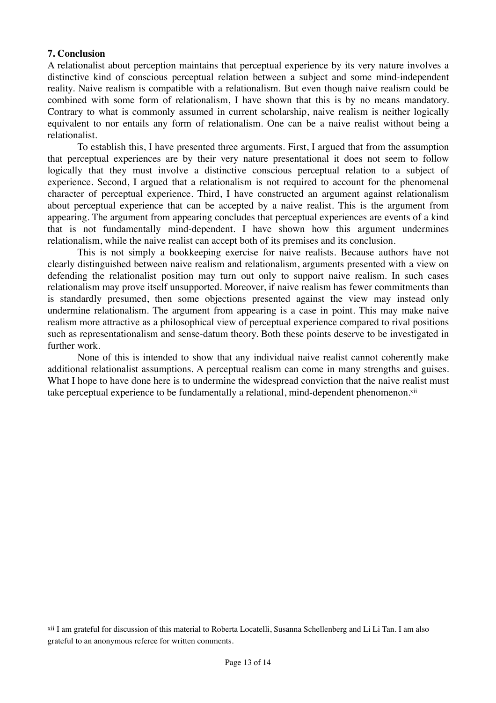## **7. Conclusion**

A relationalist about perception maintains that perceptual experience by its very nature involves a distinctive kind of conscious perceptual relation between a subject and some mind-independent reality. Naive realism is compatible with a relationalism. But even though naive realism could be combined with some form of relationalism, I have shown that this is by no means mandatory. Contrary to what is commonly assumed in current scholarship, naive realism is neither logically equivalent to nor entails any form of relationalism. One can be a naive realist without being a relationalist.

To establish this, I have presented three arguments. First, I argued that from the assumption that perceptual experiences are by their very nature presentational it does not seem to follow logically that they must involve a distinctive conscious perceptual relation to a subject of experience. Second, I argued that a relationalism is not required to account for the phenomenal character of perceptual experience. Third, I have constructed an argument against relationalism about perceptual experience that can be accepted by a naive realist. This is the argument from appearing. The argument from appearing concludes that perceptual experiences are events of a kind that is not fundamentally mind-dependent. I have shown how this argument undermines relationalism, while the naive realist can accept both of its premises and its conclusion.

This is not simply a bookkeeping exercise for naive realists. Because authors have not clearly distinguished between naive realism and relationalism, arguments presented with a view on defending the relationalist position may turn out only to support naive realism. In such cases relationalism may prove itself unsupported. Moreover, if naive realism has fewer commitments than is standardly presumed, then some objections presented against the view may instead only undermine relationalism. The argument from appearing is a case in point. This may make naive realism more attractive as a philosophical view of perceptual experience compared to rival positions such as representationalism and sense-datum theory. Both these points deserve to be investigated in further work.

<span id="page-12-1"></span>None of this is intended to show that any individual naive realist cannot coherently make additional relationalist assumptions. A perceptual realism can come in many strengths and guises. What I hope to have done here is to undermine the widespread conviction that the naive realist must take perceptual experience to be fundamentally a relational, mind-dependent phenomenon.<sup>xii</sup>

<span id="page-12-0"></span>[xii](#page-12-1) I am grateful for discussion of this material to Roberta Locatelli, Susanna Schellenberg and Li Li Tan. I am also grateful to an anonymous referee for written comments.